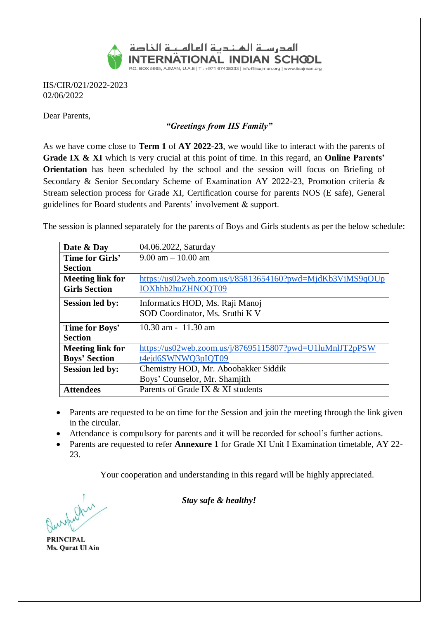

IIS/CIR/021/2022-2023 02/06/2022

Dear Parents,

## *"Greetings from IIS Family"*

As we have come close to **Term 1** of **AY 2022-23**, we would like to interact with the parents of **Grade IX & XI** which is very crucial at this point of time. In this regard, an **Online Parents' Orientation** has been scheduled by the school and the session will focus on Briefing of Secondary & Senior Secondary Scheme of Examination AY 2022-23, Promotion criteria & Stream selection process for Grade XI, Certification course for parents NOS (E safe), General guidelines for Board students and Parents' involvement & support.

The session is planned separately for the parents of Boys and Girls students as per the below schedule:

| Date & Day              | 04.06.2022, Saturday                                      |  |  |
|-------------------------|-----------------------------------------------------------|--|--|
| Time for Girls'         | $9.00$ am $-10.00$ am                                     |  |  |
| <b>Section</b>          |                                                           |  |  |
| <b>Meeting link for</b> | https://us02web.zoom.us/j/85813654160?pwd=MjdKb3ViMS9qOUp |  |  |
| <b>Girls Section</b>    | IOXhhb2huZHNOQT09                                         |  |  |
| <b>Session led by:</b>  | Informatics HOD, Ms. Raji Manoj                           |  |  |
|                         | SOD Coordinator, Ms. Sruthi K V                           |  |  |
| Time for Boys'          | $10.30$ am - $11.30$ am                                   |  |  |
| <b>Section</b>          |                                                           |  |  |
| <b>Meeting link for</b> | https://us02web.zoom.us/j/87695115807?pwd=U1luMnlJT2pPSW  |  |  |
| <b>Boys' Section</b>    | t4ejd6SWNWQ3pIQT09                                        |  |  |
| <b>Session led by:</b>  | Chemistry HOD, Mr. Aboobakker Siddik                      |  |  |
|                         | Boys' Counselor, Mr. Shamjith                             |  |  |
| <b>Attendees</b>        | Parents of Grade IX & XI students                         |  |  |

- Parents are requested to be on time for the Session and join the meeting through the link given in the circular.
- Attendance is compulsory for parents and it will be recorded for school's further actions.
- Parents are requested to refer **Annexure 1** for Grade XI Unit I Examination timetable, AY 22- 23.

Your cooperation and understanding in this regard will be highly appreciated.

**PRINCIPAL** Ms. Qurat Ul Ain

*Stay safe & healthy!*